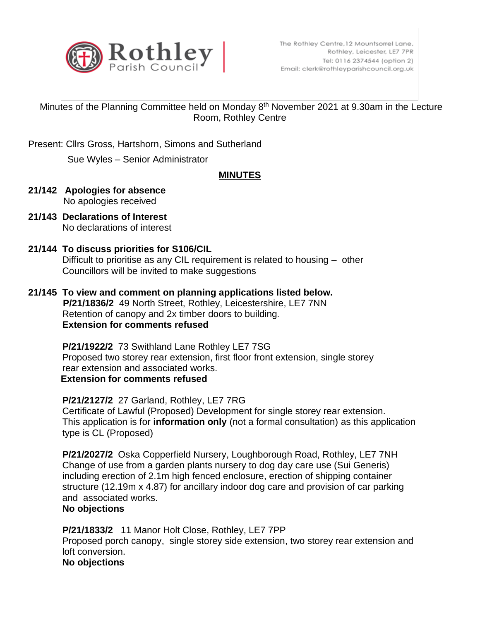

## Minutes of the Planning Committee held on Monday 8<sup>th</sup> November 2021 at 9.30am in the Lecture Room, Rothley Centre

Present: Cllrs Gross, Hartshorn, Simons and Sutherland

Sue Wyles – Senior Administrator

## **MINUTES**

- **21/142 Apologies for absence** No apologies received
- **21/143 Declarations of Interest** No declarations of interest

# **21/144 To discuss priorities for S106/CIL**

Difficult to prioritise as any CIL requirement is related to housing – other Councillors will be invited to make suggestions

**21/145 To view and comment on planning applications listed below. P/21/1836/2** 49 North Street, Rothley, Leicestershire, LE7 7NN Retention of canopy and 2x timber doors to building.  **Extension for comments refused**

> **P/21/1922/2** 73 Swithland Lane Rothley LE7 7SG Proposed two storey rear extension, first floor front extension, single storey rear extension and associated works. **Extension for comments refused**

 **P/21/2127/2** 27 Garland, Rothley, LE7 7RG Certificate of Lawful (Proposed) Development for single storey rear extension. This application is for **information only** (not a formal consultation) as this application type is CL (Proposed)

 **P/21/2027/2** Oska Copperfield Nursery, Loughborough Road, Rothley, LE7 7NH Change of use from a garden plants nursery to dog day care use (Sui Generis) including erection of 2.1m high fenced enclosure, erection of shipping container structure (12.19m x 4.87) for ancillary indoor dog care and provision of car parking and associated works.

## **No objections**

 **P/21/1833/2** 11 Manor Holt Close, Rothley, LE7 7PP Proposed porch canopy, single storey side extension, two storey rear extension and loft conversion. **No objections**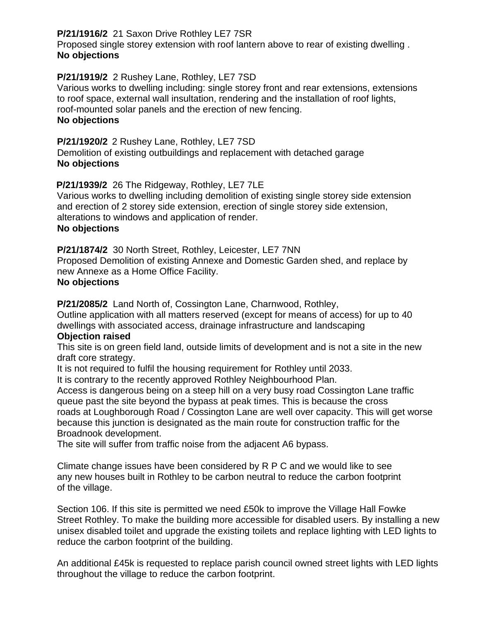## **P/21/1916/2** 21 Saxon Drive Rothley LE7 7SR

 Proposed single storey extension with roof lantern above to rear of existing dwelling . **No objections**

## **P/21/1919/2** 2 Rushey Lane, Rothley, LE7 7SD

 Various works to dwelling including: single storey front and rear extensions, extensions to roof space, external wall insultation, rendering and the installation of roof lights, roof-mounted solar panels and the erection of new fencing. **No objections**

### **P/21/1920/2** 2 Rushey Lane, Rothley, LE7 7SD Demolition of existing outbuildings and replacement with detached garage **No objections**

**P/21/1939/2** 26 The Ridgeway, Rothley, LE7 7LE

 Various works to dwelling including demolition of existing single storey side extension and erection of 2 storey side extension, erection of single storey side extension, alterations to windows and application of render. **No objections**

**P/21/1874/2** 30 North Street, Rothley, Leicester, LE7 7NN

 Proposed Demolition of existing Annexe and Domestic Garden shed, and replace by new Annexe as a Home Office Facility.

## **No objections**

**P/21/2085/2** Land North of, Cossington Lane, Charnwood, Rothley,

 Outline application with all matters reserved (except for means of access) for up to 40 dwellings with associated access, drainage infrastructure and landscaping

## **Objection raised**

This site is on green field land, outside limits of development and is not a site in the new draft core strategy.

It is not required to fulfil the housing requirement for Rothley until 2033.

It is contrary to the recently approved Rothley Neighbourhood Plan.

 Access is dangerous being on a steep hill on a very busy road Cossington Lane traffic queue past the site beyond the bypass at peak times. This is because the cross roads at Loughborough Road / Cossington Lane are well over capacity. This will get worse because this junction is designated as the main route for construction traffic for the Broadnook development.

The site will suffer from traffic noise from the adjacent A6 bypass.

 Climate change issues have been considered by R P C and we would like to see any new houses built in Rothley to be carbon neutral to reduce the carbon footprint of the village.

 Section 106. If this site is permitted we need £50k to improve the Village Hall Fowke Street Rothley. To make the building more accessible for disabled users. By installing a new unisex disabled toilet and upgrade the existing toilets and replace lighting with LED lights to reduce the carbon footprint of the building.

 An additional £45k is requested to replace parish council owned street lights with LED lights throughout the village to reduce the carbon footprint.